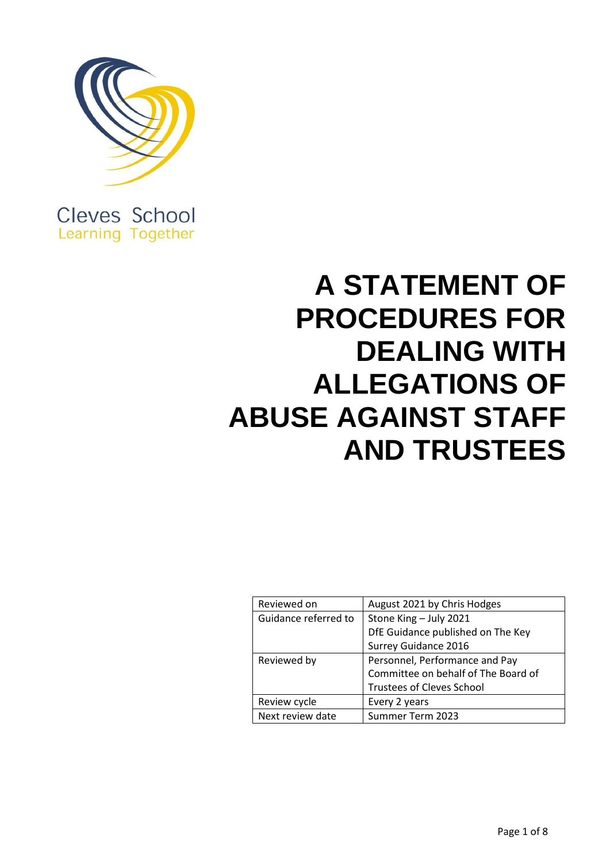

Cleves School **Learning Together** 

# **A STATEMENT OF PROCEDURES FOR DEALING WITH ALLEGATIONS OF ABUSE AGAINST STAFF AND TRUSTEES**

| Reviewed on          | August 2021 by Chris Hodges         |
|----------------------|-------------------------------------|
| Guidance referred to | Stone King - July 2021              |
|                      | DfE Guidance published on The Key   |
|                      | <b>Surrey Guidance 2016</b>         |
| Reviewed by          | Personnel, Performance and Pay      |
|                      | Committee on behalf of The Board of |
|                      | <b>Trustees of Cleves School</b>    |
| Review cycle         | Every 2 years                       |
| Next review date     | Summer Term 2023                    |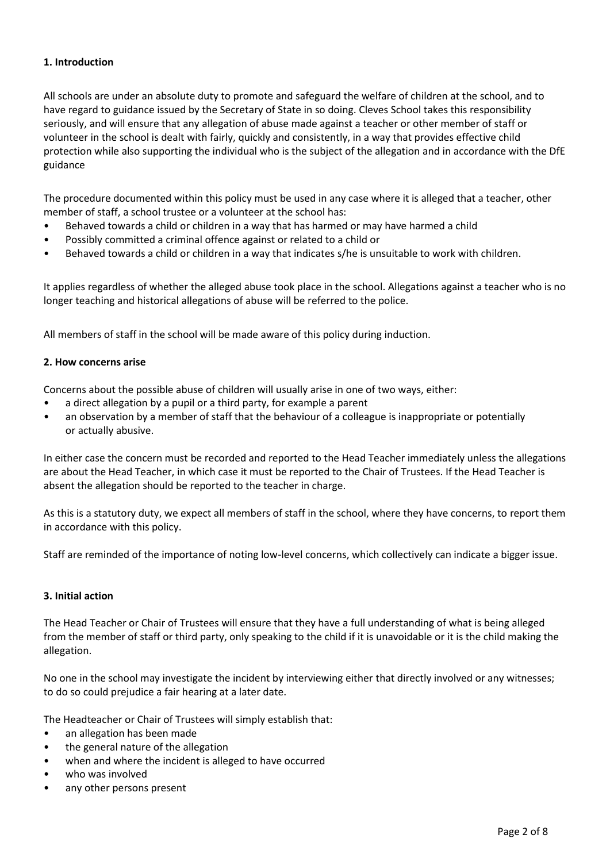# **1. Introduction**

All schools are under an absolute duty to promote and safeguard the welfare of children at the school, and to have regard to guidance issued by the Secretary of State in so doing. Cleves School takes this responsibility seriously, and will ensure that any allegation of abuse made against a teacher or other member of staff or volunteer in the school is dealt with fairly, quickly and consistently, in a way that provides effective child protection while also supporting the individual who is the subject of the allegation and in accordance with the DfE guidance

The procedure documented within this policy must be used in any case where it is alleged that a teacher, other member of staff, a school trustee or a volunteer at the school has:

- Behaved towards a child or children in a way that has harmed or may have harmed a child
- Possibly committed a criminal offence against or related to a child or
- Behaved towards a child or children in a way that indicates s/he is unsuitable to work with children.

It applies regardless of whether the alleged abuse took place in the school. Allegations against a teacher who is no longer teaching and historical allegations of abuse will be referred to the police.

All members of staff in the school will be made aware of this policy during induction.

## **2. How concerns arise**

Concerns about the possible abuse of children will usually arise in one of two ways, either:

- a direct allegation by a pupil or a third party, for example a parent
- an observation by a member of staff that the behaviour of a colleague is inappropriate or potentially or actually abusive.

In either case the concern must be recorded and reported to the Head Teacher immediately unless the allegations are about the Head Teacher, in which case it must be reported to the Chair of Trustees. If the Head Teacher is absent the allegation should be reported to the teacher in charge.

As this is a statutory duty, we expect all members of staff in the school, where they have concerns, to report them in accordance with this policy.

Staff are reminded of the importance of noting low-level concerns, which collectively can indicate a bigger issue.

## **3. Initial action**

The Head Teacher or Chair of Trustees will ensure that they have a full understanding of what is being alleged from the member of staff or third party, only speaking to the child if it is unavoidable or it is the child making the allegation.

No one in the school may investigate the incident by interviewing either that directly involved or any witnesses; to do so could prejudice a fair hearing at a later date.

The Headteacher or Chair of Trustees will simply establish that:

- an allegation has been made
- the general nature of the allegation
- when and where the incident is alleged to have occurred
- who was involved
- any other persons present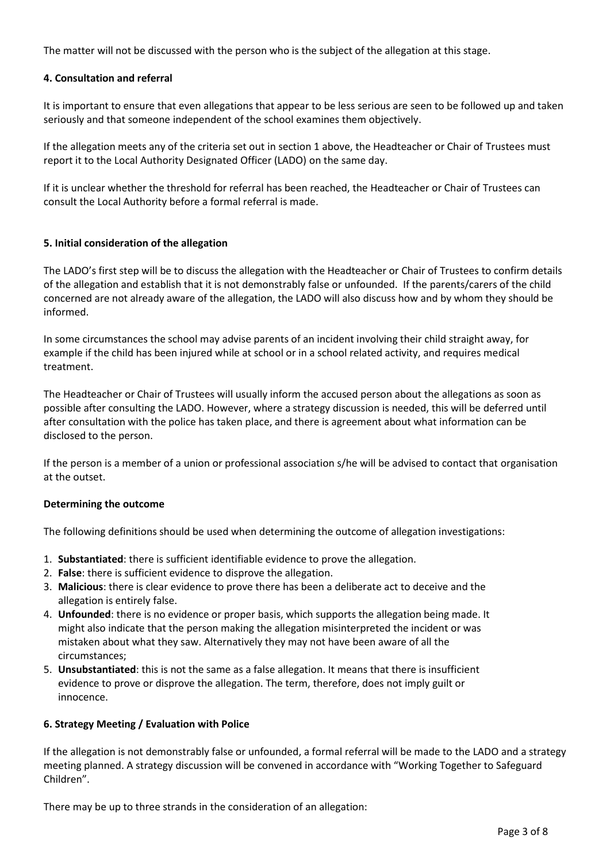The matter will not be discussed with the person who is the subject of the allegation at this stage.

## **4. Consultation and referral**

It is important to ensure that even allegations that appear to be less serious are seen to be followed up and taken seriously and that someone independent of the school examines them objectively.

If the allegation meets any of the criteria set out in section 1 above, the Headteacher or Chair of Trustees must report it to the Local Authority Designated Officer (LADO) on the same day.

If it is unclear whether the threshold for referral has been reached, the Headteacher or Chair of Trustees can consult the Local Authority before a formal referral is made.

#### **5. Initial consideration of the allegation**

The LADO's first step will be to discuss the allegation with the Headteacher or Chair of Trustees to confirm details of the allegation and establish that it is not demonstrably false or unfounded. If the parents/carers of the child concerned are not already aware of the allegation, the LADO will also discuss how and by whom they should be informed.

In some circumstances the school may advise parents of an incident involving their child straight away, for example if the child has been injured while at school or in a school related activity, and requires medical treatment.

The Headteacher or Chair of Trustees will usually inform the accused person about the allegations as soon as possible after consulting the LADO. However, where a strategy discussion is needed, this will be deferred until after consultation with the police has taken place, and there is agreement about what information can be disclosed to the person.

If the person is a member of a union or professional association s/he will be advised to contact that organisation at the outset.

#### **Determining the outcome**

The following definitions should be used when determining the outcome of allegation investigations:

- 1. **Substantiated**: there is sufficient identifiable evidence to prove the allegation.
- 2. **False**: there is sufficient evidence to disprove the allegation.
- 3. **Malicious**: there is clear evidence to prove there has been a deliberate act to deceive and the allegation is entirely false.
- 4. **Unfounded**: there is no evidence or proper basis, which supports the allegation being made. It might also indicate that the person making the allegation misinterpreted the incident or was mistaken about what they saw. Alternatively they may not have been aware of all the circumstances;
- 5. **Unsubstantiated**: this is not the same as a false allegation. It means that there is insufficient evidence to prove or disprove the allegation. The term, therefore, does not imply guilt or innocence.

## **6. Strategy Meeting / Evaluation with Police**

If the allegation is not demonstrably false or unfounded, a formal referral will be made to the LADO and a strategy meeting planned. A strategy discussion will be convened in accordance with "Working Together to Safeguard Children".

There may be up to three strands in the consideration of an allegation: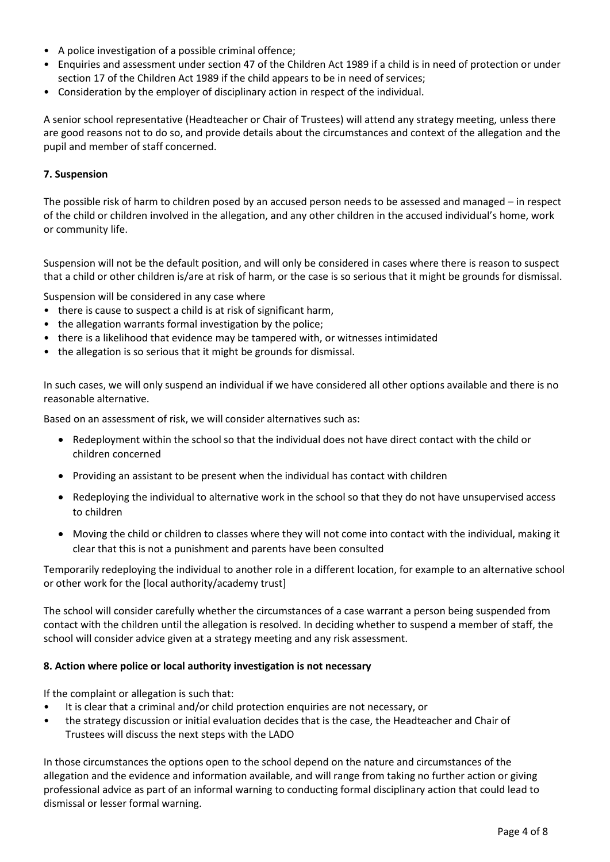- A police investigation of a possible criminal offence;
- Enquiries and assessment under section 47 of the Children Act 1989 if a child is in need of protection or under section 17 of the Children Act 1989 if the child appears to be in need of services;
- Consideration by the employer of disciplinary action in respect of the individual.

A senior school representative (Headteacher or Chair of Trustees) will attend any strategy meeting, unless there are good reasons not to do so, and provide details about the circumstances and context of the allegation and the pupil and member of staff concerned.

## **7. Suspension**

The possible risk of harm to children posed by an accused person needs to be assessed and managed – in respect of the child or children involved in the allegation, and any other children in the accused individual's home, work or community life.

Suspension will not be the default position, and will only be considered in cases where there is reason to suspect that a child or other children is/are at risk of harm, or the case is so serious that it might be grounds for dismissal.

Suspension will be considered in any case where

- there is cause to suspect a child is at risk of significant harm,
- the allegation warrants formal investigation by the police;
- there is a likelihood that evidence may be tampered with, or witnesses intimidated
- the allegation is so serious that it might be grounds for dismissal.

In such cases, we will only suspend an individual if we have considered all other options available and there is no reasonable alternative.

Based on an assessment of risk, we will consider alternatives such as:

- Redeployment within the school so that the individual does not have direct contact with the child or children concerned
- Providing an assistant to be present when the individual has contact with children
- Redeploying the individual to alternative work in the school so that they do not have unsupervised access to children
- Moving the child or children to classes where they will not come into contact with the individual, making it clear that this is not a punishment and parents have been consulted

Temporarily redeploying the individual to another role in a different location, for example to an alternative school or other work for the [local authority/academy trust]

The school will consider carefully whether the circumstances of a case warrant a person being suspended from contact with the children until the allegation is resolved. In deciding whether to suspend a member of staff, the school will consider advice given at a strategy meeting and any risk assessment.

## **8. Action where police or local authority investigation is not necessary**

If the complaint or allegation is such that:

- It is clear that a criminal and/or child protection enquiries are not necessary, or
- the strategy discussion or initial evaluation decides that is the case, the Headteacher and Chair of Trustees will discuss the next steps with the LADO

In those circumstances the options open to the school depend on the nature and circumstances of the allegation and the evidence and information available, and will range from taking no further action or giving professional advice as part of an informal warning to conducting formal disciplinary action that could lead to dismissal or lesser formal warning.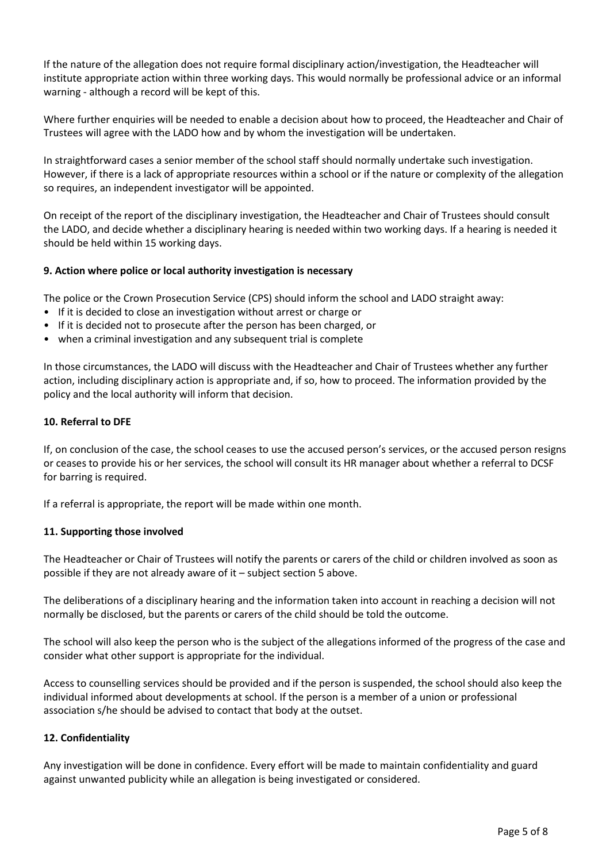If the nature of the allegation does not require formal disciplinary action/investigation, the Headteacher will institute appropriate action within three working days. This would normally be professional advice or an informal warning - although a record will be kept of this.

Where further enquiries will be needed to enable a decision about how to proceed, the Headteacher and Chair of Trustees will agree with the LADO how and by whom the investigation will be undertaken.

In straightforward cases a senior member of the school staff should normally undertake such investigation. However, if there is a lack of appropriate resources within a school or if the nature or complexity of the allegation so requires, an independent investigator will be appointed.

On receipt of the report of the disciplinary investigation, the Headteacher and Chair of Trustees should consult the LADO, and decide whether a disciplinary hearing is needed within two working days. If a hearing is needed it should be held within 15 working days.

# **9. Action where police or local authority investigation is necessary**

The police or the Crown Prosecution Service (CPS) should inform the school and LADO straight away:

- If it is decided to close an investigation without arrest or charge or
- If it is decided not to prosecute after the person has been charged, or
- when a criminal investigation and any subsequent trial is complete

In those circumstances, the LADO will discuss with the Headteacher and Chair of Trustees whether any further action, including disciplinary action is appropriate and, if so, how to proceed. The information provided by the policy and the local authority will inform that decision.

## **10. Referral to DFE**

If, on conclusion of the case, the school ceases to use the accused person's services, or the accused person resigns or ceases to provide his or her services, the school will consult its HR manager about whether a referral to DCSF for barring is required.

If a referral is appropriate, the report will be made within one month.

## **11. Supporting those involved**

The Headteacher or Chair of Trustees will notify the parents or carers of the child or children involved as soon as possible if they are not already aware of it – subject section 5 above.

The deliberations of a disciplinary hearing and the information taken into account in reaching a decision will not normally be disclosed, but the parents or carers of the child should be told the outcome.

The school will also keep the person who is the subject of the allegations informed of the progress of the case and consider what other support is appropriate for the individual.

Access to counselling services should be provided and if the person is suspended, the school should also keep the individual informed about developments at school. If the person is a member of a union or professional association s/he should be advised to contact that body at the outset.

# **12. Confidentiality**

Any investigation will be done in confidence. Every effort will be made to maintain confidentiality and guard against unwanted publicity while an allegation is being investigated or considered.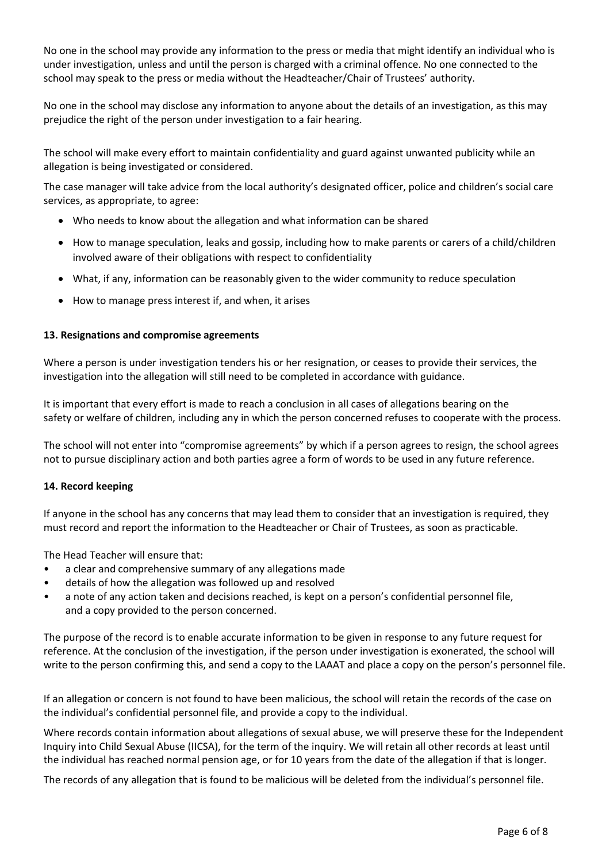No one in the school may provide any information to the press or media that might identify an individual who is under investigation, unless and until the person is charged with a criminal offence. No one connected to the school may speak to the press or media without the Headteacher/Chair of Trustees' authority.

No one in the school may disclose any information to anyone about the details of an investigation, as this may prejudice the right of the person under investigation to a fair hearing.

The school will make every effort to maintain confidentiality and guard against unwanted publicity while an allegation is being investigated or considered.

The case manager will take advice from the local authority's designated officer, police and children's social care services, as appropriate, to agree:

- Who needs to know about the allegation and what information can be shared
- How to manage speculation, leaks and gossip, including how to make parents or carers of a child/children involved aware of their obligations with respect to confidentiality
- What, if any, information can be reasonably given to the wider community to reduce speculation
- How to manage press interest if, and when, it arises

## **13. Resignations and compromise agreements**

Where a person is under investigation tenders his or her resignation, or ceases to provide their services, the investigation into the allegation will still need to be completed in accordance with guidance.

It is important that every effort is made to reach a conclusion in all cases of allegations bearing on the safety or welfare of children, including any in which the person concerned refuses to cooperate with the process.

The school will not enter into "compromise agreements" by which if a person agrees to resign, the school agrees not to pursue disciplinary action and both parties agree a form of words to be used in any future reference.

## **14. Record keeping**

If anyone in the school has any concerns that may lead them to consider that an investigation is required, they must record and report the information to the Headteacher or Chair of Trustees, as soon as practicable.

The Head Teacher will ensure that:

- a clear and comprehensive summary of any allegations made
- details of how the allegation was followed up and resolved
- a note of any action taken and decisions reached, is kept on a person's confidential personnel file, and a copy provided to the person concerned.

The purpose of the record is to enable accurate information to be given in response to any future request for reference. At the conclusion of the investigation, if the person under investigation is exonerated, the school will write to the person confirming this, and send a copy to the LAAAT and place a copy on the person's personnel file.

If an allegation or concern is not found to have been malicious, the school will retain the records of the case on the individual's confidential personnel file, and provide a copy to the individual.

Where records contain information about allegations of sexual abuse, we will preserve these for the Independent Inquiry into Child Sexual Abuse (IICSA), for the term of the inquiry. We will retain all other records at least until the individual has reached normal pension age, or for 10 years from the date of the allegation if that is longer.

The records of any allegation that is found to be malicious will be deleted from the individual's personnel file.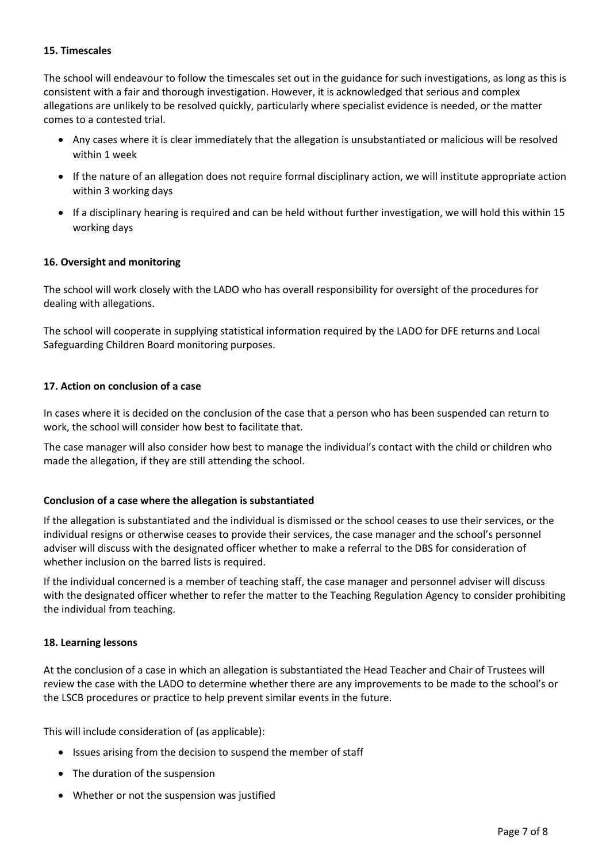# **15. Timescales**

The school will endeavour to follow the timescales set out in the guidance for such investigations, as long as this is consistent with a fair and thorough investigation. However, it is acknowledged that serious and complex allegations are unlikely to be resolved quickly, particularly where specialist evidence is needed, or the matter comes to a contested trial.

- Any cases where it is clear immediately that the allegation is unsubstantiated or malicious will be resolved within 1 week
- If the nature of an allegation does not require formal disciplinary action, we will institute appropriate action within 3 working days
- If a disciplinary hearing is required and can be held without further investigation, we will hold this within 15 working days

# **16. Oversight and monitoring**

The school will work closely with the LADO who has overall responsibility for oversight of the procedures for dealing with allegations.

The school will cooperate in supplying statistical information required by the LADO for DFE returns and Local Safeguarding Children Board monitoring purposes.

# **17. Action on conclusion of a case**

In cases where it is decided on the conclusion of the case that a person who has been suspended can return to work, the school will consider how best to facilitate that.

The case manager will also consider how best to manage the individual's contact with the child or children who made the allegation, if they are still attending the school.

## **Conclusion of a case where the allegation is substantiated**

If the allegation is substantiated and the individual is dismissed or the school ceases to use their services, or the individual resigns or otherwise ceases to provide their services, the case manager and the school's personnel adviser will discuss with the designated officer whether to make a referral to the DBS for consideration of whether inclusion on the barred lists is required.

If the individual concerned is a member of teaching staff, the case manager and personnel adviser will discuss with the designated officer whether to refer the matter to the Teaching Regulation Agency to consider prohibiting the individual from teaching.

## **18. Learning lessons**

At the conclusion of a case in which an allegation is substantiated the Head Teacher and Chair of Trustees will review the case with the LADO to determine whether there are any improvements to be made to the school's or the LSCB procedures or practice to help prevent similar events in the future.

This will include consideration of (as applicable):

- Issues arising from the decision to suspend the member of staff
- The duration of the suspension
- Whether or not the suspension was justified